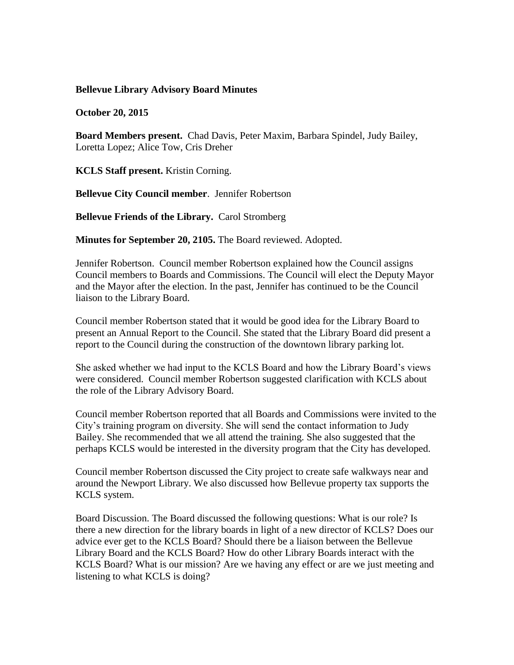## **Bellevue Library Advisory Board Minutes**

**October 20, 2015**

**Board Members present.** Chad Davis, Peter Maxim, Barbara Spindel, Judy Bailey, Loretta Lopez; Alice Tow, Cris Dreher

**KCLS Staff present.** Kristin Corning.

**Bellevue City Council member**. Jennifer Robertson

**Bellevue Friends of the Library.** Carol Stromberg

**Minutes for September 20, 2105.** The Board reviewed. Adopted.

Jennifer Robertson. Council member Robertson explained how the Council assigns Council members to Boards and Commissions. The Council will elect the Deputy Mayor and the Mayor after the election. In the past, Jennifer has continued to be the Council liaison to the Library Board.

Council member Robertson stated that it would be good idea for the Library Board to present an Annual Report to the Council. She stated that the Library Board did present a report to the Council during the construction of the downtown library parking lot.

She asked whether we had input to the KCLS Board and how the Library Board's views were considered. Council member Robertson suggested clarification with KCLS about the role of the Library Advisory Board.

Council member Robertson reported that all Boards and Commissions were invited to the City's training program on diversity. She will send the contact information to Judy Bailey. She recommended that we all attend the training. She also suggested that the perhaps KCLS would be interested in the diversity program that the City has developed.

Council member Robertson discussed the City project to create safe walkways near and around the Newport Library. We also discussed how Bellevue property tax supports the KCLS system.

Board Discussion. The Board discussed the following questions: What is our role? Is there a new direction for the library boards in light of a new director of KCLS? Does our advice ever get to the KCLS Board? Should there be a liaison between the Bellevue Library Board and the KCLS Board? How do other Library Boards interact with the KCLS Board? What is our mission? Are we having any effect or are we just meeting and listening to what KCLS is doing?